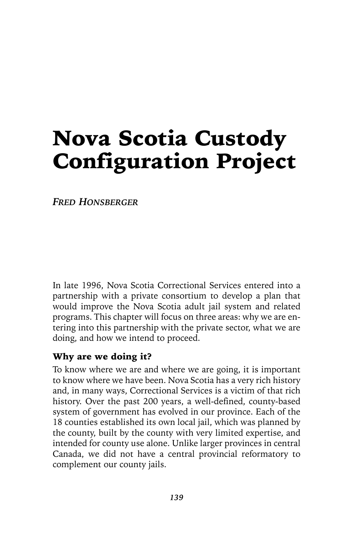# Nova Scotia Custody Configuration Project

*FRED HONSBERGER*

In late 1996, Nova Scotia Correctional Services entered into a partnership with a private consortium to develop a plan that would improve the Nova Scotia adult jail system and related programs. This chapter will focus on three areas: why we are entering into this partnership with the private sector, what we are doing, and how we intend to proceed.

#### Why are we doing it?

To know where we are and where we are going, it is important to know where we have been. Nova Scotia has a very rich history and, in many ways, Correctional Services is a victim of that rich history. Over the past 200 years, a well-defined, county-based system of government has evolved in our province. Each of the 18 counties established its own local jail, which was planned by the county, built by the county with very limited expertise, and intended for county use alone. Unlike larger provinces in central Canada, we did not have a central provincial reformatory to complement our county jails.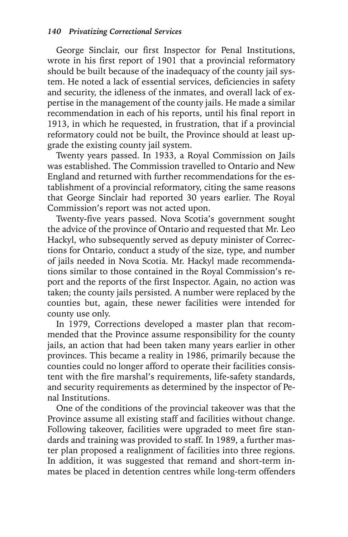George Sinclair, our first Inspector for Penal Institutions, wrote in his first report of 1901 that a provincial reformatory should be built because of the inadequacy of the county jail system. He noted a lack of essential services, deficiencies in safety and security, the idleness of the inmates, and overall lack of expertise in the management of the county jails. He made a similar recommendation in each of his reports, until his final report in 1913, in which he requested, in frustration, that if a provincial reformatory could not be built, the Province should at least upgrade the existing county jail system.

Twenty years passed. In 1933, a Royal Commission on Jails was established. The Commission travelled to Ontario and New England and returned with further recommendations for the establishment of a provincial reformatory, citing the same reasons that George Sinclair had reported 30 years earlier. The Royal Commission's report was not acted upon.

Twenty-five years passed. Nova Scotia's government sought the advice of the province of Ontario and requested that Mr. Leo Hackyl, who subsequently served as deputy minister of Corrections for Ontario, conduct a study of the size, type, and number of jails needed in Nova Scotia. Mr. Hackyl made recommendations similar to those contained in the Royal Commission's report and the reports of the first Inspector. Again, no action was taken; the county jails persisted. A number were replaced by the counties but, again, these newer facilities were intended for county use only.

In 1979, Corrections developed a master plan that recommended that the Province assume responsibility for the county jails, an action that had been taken many years earlier in other provinces. This became a reality in 1986, primarily because the counties could no longer afford to operate their facilities consistent with the fire marshal's requirements, life-safety standards, and security requirements as determined by the inspector of Penal Institutions.

One of the conditions of the provincial takeover was that the Province assume all existing staff and facilities without change. Following takeover, facilities were upgraded to meet fire standards and training was provided to staff. In 1989, a further master plan proposed a realignment of facilities into three regions. In addition, it was suggested that remand and short-term inmates be placed in detention centres while long-term offenders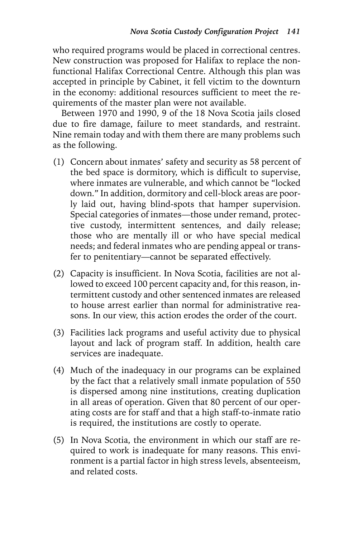who required programs would be placed in correctional centres. New construction was proposed for Halifax to replace the nonfunctional Halifax Correctional Centre. Although this plan was accepted in principle by Cabinet, it fell victim to the downturn in the economy: additional resources sufficient to meet the requirements of the master plan were not available.

Between 1970 and 1990, 9 of the 18 Nova Scotia jails closed due to fire damage, failure to meet standards, and restraint. Nine remain today and with them there are many problems such as the following.

- (1) Concern about inmates' safety and security as 58 percent of the bed space is dormitory, which is difficult to supervise, where inmates are vulnerable, and which cannot be "locked down." In addition, dormitory and cell-block areas are poorly laid out, having blind-spots that hamper supervision. Special categories of inmates—those under remand, protective custody, intermittent sentences, and daily release; those who are mentally ill or who have special medical needs; and federal inmates who are pending appeal or transfer to penitentiary—cannot be separated effectively.
- (2) Capacity is insufficient. In Nova Scotia, facilities are not allowed to exceed 100 percent capacity and, for this reason, intermittent custody and other sentenced inmates are released to house arrest earlier than normal for administrative reasons. In our view, this action erodes the order of the court.
- (3) Facilities lack programs and useful activity due to physical layout and lack of program staff. In addition, health care services are inadequate.
- (4) Much of the inadequacy in our programs can be explained by the fact that a relatively small inmate population of 550 is dispersed among nine institutions, creating duplication in all areas of operation. Given that 80 percent of our operating costs are for staff and that a high staff-to-inmate ratio is required, the institutions are costly to operate.
- (5) In Nova Scotia, the environment in which our staff are required to work is inadequate for many reasons. This environment is a partial factor in high stress levels, absenteeism, and related costs.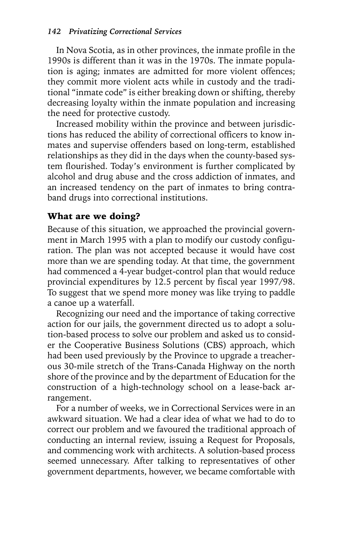In Nova Scotia, as in other provinces, the inmate profile in the 1990s is different than it was in the 1970s. The inmate population is aging; inmates are admitted for more violent offences; they commit more violent acts while in custody and the traditional "inmate code" is either breaking down or shifting, thereby decreasing loyalty within the inmate population and increasing the need for protective custody.

Increased mobility within the province and between jurisdictions has reduced the ability of correctional officers to know inmates and supervise offenders based on long-term, established relationships as they did in the days when the county-based system flourished. Today's environment is further complicated by alcohol and drug abuse and the cross addiction of inmates, and an increased tendency on the part of inmates to bring contraband drugs into correctional institutions.

### What are we doing?

Because of this situation, we approached the provincial government in March 1995 with a plan to modify our custody configuration. The plan was not accepted because it would have cost more than we are spending today. At that time, the government had commenced a 4-year budget-control plan that would reduce provincial expenditures by 12.5 percent by fiscal year 1997/98. To suggest that we spend more money was like trying to paddle a canoe up a waterfall.

Recognizing our need and the importance of taking corrective action for our jails, the government directed us to adopt a solution-based process to solve our problem and asked us to consider the Cooperative Business Solutions (CBS) approach, which had been used previously by the Province to upgrade a treacherous 30-mile stretch of the Trans-Canada Highway on the north shore of the province and by the department of Education for the construction of a high-technology school on a lease-back arrangement.

For a number of weeks, we in Correctional Services were in an awkward situation. We had a clear idea of what we had to do to correct our problem and we favoured the traditional approach of conducting an internal review, issuing a Request for Proposals, and commencing work with architects. A solution-based process seemed unnecessary. After talking to representatives of other government departments, however, we became comfortable with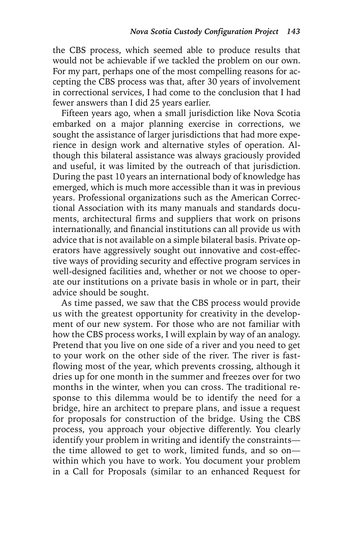the CBS process, which seemed able to produce results that would not be achievable if we tackled the problem on our own. For my part, perhaps one of the most compelling reasons for accepting the CBS process was that, after 30 years of involvement in correctional services, I had come to the conclusion that I had fewer answers than I did 25 years earlier.

Fifteen years ago, when a small jurisdiction like Nova Scotia embarked on a major planning exercise in corrections, we sought the assistance of larger jurisdictions that had more experience in design work and alternative styles of operation. Although this bilateral assistance was always graciously provided and useful, it was limited by the outreach of that jurisdiction. During the past 10 years an international body of knowledge has emerged, which is much more accessible than it was in previous years. Professional organizations such as the American Correctional Association with its many manuals and standards documents, architectural firms and suppliers that work on prisons internationally, and financial institutions can all provide us with advice that is not available on a simple bilateral basis. Private operators have aggressively sought out innovative and cost-effective ways of providing security and effective program services in well-designed facilities and, whether or not we choose to operate our institutions on a private basis in whole or in part, their advice should be sought.

As time passed, we saw that the CBS process would provide us with the greatest opportunity for creativity in the development of our new system. For those who are not familiar with how the CBS process works, I will explain by way of an analogy. Pretend that you live on one side of a river and you need to get to your work on the other side of the river. The river is fastflowing most of the year, which prevents crossing, although it dries up for one month in the summer and freezes over for two months in the winter, when you can cross. The traditional response to this dilemma would be to identify the need for a bridge, hire an architect to prepare plans, and issue a request for proposals for construction of the bridge. Using the CBS process, you approach your objective differently. You clearly identify your problem in writing and identify the constraints the time allowed to get to work, limited funds, and so on within which you have to work. You document your problem in a Call for Proposals (similar to an enhanced Request for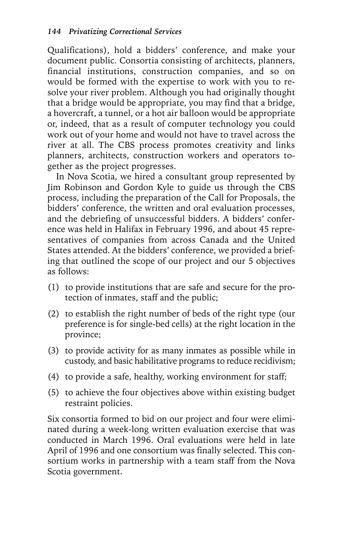Qualifications), hold a bidders' conference, and make your document public. Consortia consisting of architects, planners, financial institutions, construction companies, and so on would be formed with the expertise to work with you to resolve your river problem. Although you had originally thought that a bridge would be appropriate, you may find that a bridge, a hovercraft, a tunnel, or a hot air balloon would be appropriate or, indeed, that as a result of computer technology you could work out of your home and would not have to travel across the river at all. The CBS process promotes creativity and links planners, architects, construction workers and operators together as the project progresses.

In Nova Scotia, we hired a consultant group represented by Jim Robinson and Gordon Kyle to guide us through the CBS process, including the preparation of the Call for Proposals, the bidders' conference, the written and oral evaluation processes, and the debriefing of unsuccessful bidders. A bidders' conference was held in Halifax in February 1996, and about 45 representatives of companies from across Canada and the United States attended. At the bidders' conference, we provided a briefing that outlined the scope of our project and our 5 objectives as follows:

- (1) to provide institutions that are safe and secure for the protection of inmates, staff and the public;
- (2) to establish the right number of beds of the right type (our preference is for single-bed cells) at the right location in the province;
- (3) to provide activity for as many inmates as possible while in custody, and basic habilitative programs to reduce recidivism;
- (4) to provide a safe, healthy, working environment for staff;
- (5) to achieve the four objectives above within existing budget restraint policies.

Six consortia formed to bid on our project and four were eliminated during a week-long written evaluation exercise that was conducted in March 1996. Oral evaluations were held in late April of 1996 and one consortium was finally selected. This consortium works in partnership with a team staff from the Nova Scotia government.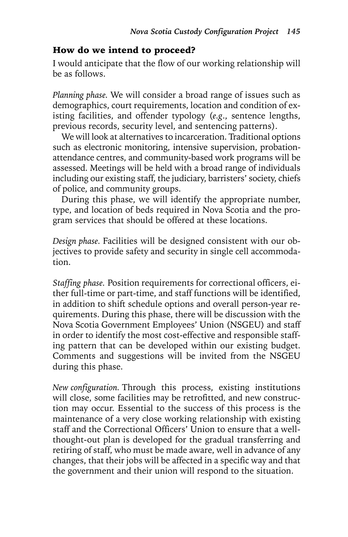#### How do we intend to proceed?

I would anticipate that the flow of our working relationship will be as follows.

*Planning phase.* We will consider a broad range of issues such as demographics, court requirements, location and condition of existing facilities, and offender typology (*e.g*., sentence lengths, previous records, security level, and sentencing patterns).

We will look at alternatives to incarceration. Traditional options such as electronic monitoring, intensive supervision, probationattendance centres, and community-based work programs will be assessed. Meetings will be held with a broad range of individuals including our existing staff, the judiciary, barristers' society, chiefs of police, and community groups.

During this phase, we will identify the appropriate number, type, and location of beds required in Nova Scotia and the program services that should be offered at these locations.

*Design phase.* Facilities will be designed consistent with our objectives to provide safety and security in single cell accommodation.

*Staffing phase.* Position requirements for correctional officers, either full-time or part-time, and staff functions will be identified, in addition to shift schedule options and overall person-year requirements. During this phase, there will be discussion with the Nova Scotia Government Employees' Union (NSGEU) and staff in order to identify the most cost-effective and responsible staffing pattern that can be developed within our existing budget. Comments and suggestions will be invited from the NSGEU during this phase.

*New configuration.* Through this process, existing institutions will close, some facilities may be retrofitted, and new construction may occur. Essential to the success of this process is the maintenance of a very close working relationship with existing staff and the Correctional Officers' Union to ensure that a wellthought-out plan is developed for the gradual transferring and retiring of staff, who must be made aware, well in advance of any changes, that their jobs will be affected in a specific way and that the government and their union will respond to the situation.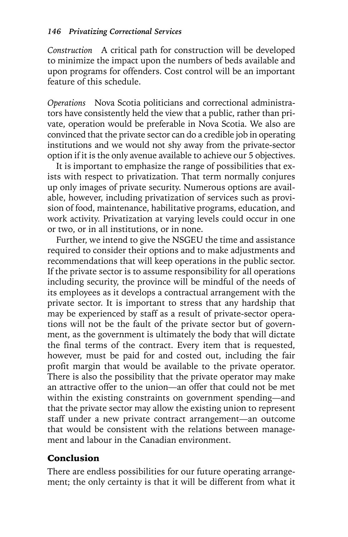*Construction* A critical path for construction will be developed to minimize the impact upon the numbers of beds available and upon programs for offenders. Cost control will be an important feature of this schedule.

*Operations* Nova Scotia politicians and correctional administrators have consistently held the view that a public, rather than private, operation would be preferable in Nova Scotia. We also are convinced that the private sector can do a credible job in operating institutions and we would not shy away from the private-sector option if it is the only avenue available to achieve our 5 objectives.

It is important to emphasize the range of possibilities that exists with respect to privatization. That term normally conjures up only images of private security. Numerous options are available, however, including privatization of services such as provision of food, maintenance, habilitative programs, education, and work activity. Privatization at varying levels could occur in one or two, or in all institutions, or in none.

Further, we intend to give the NSGEU the time and assistance required to consider their options and to make adjustments and recommendations that will keep operations in the public sector. If the private sector is to assume responsibility for all operations including security, the province will be mindful of the needs of its employees as it develops a contractual arrangement with the private sector. It is important to stress that any hardship that may be experienced by staff as a result of private-sector operations will not be the fault of the private sector but of government, as the government is ultimately the body that will dictate the final terms of the contract. Every item that is requested, however, must be paid for and costed out, including the fair profit margin that would be available to the private operator. There is also the possibility that the private operator may make an attractive offer to the union—an offer that could not be met within the existing constraints on government spending—and that the private sector may allow the existing union to represent staff under a new private contract arrangement—an outcome that would be consistent with the relations between management and labour in the Canadian environment.

## Conclusion

There are endless possibilities for our future operating arrangement; the only certainty is that it will be different from what it